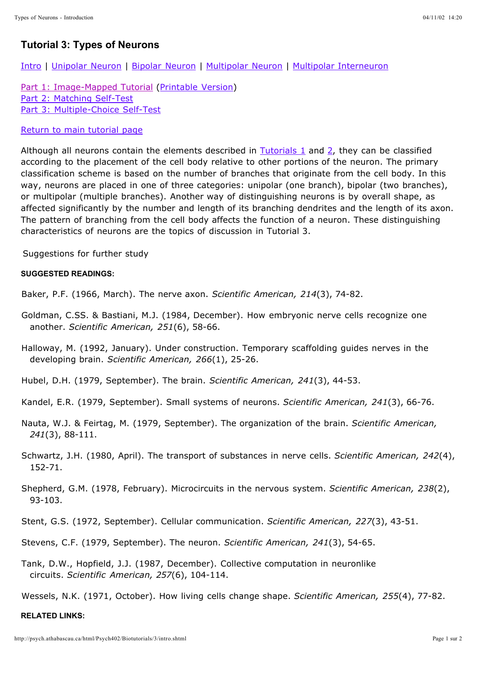## **Tutorial 3: Types of Neurons**

Intro | Unipolar Neuron | Bipolar Neuron | Multipolar Neuron | Multipolar Interneuron

Part 1: Image-Mapped Tutorial (Printable Version) Part 2: Matching Self-Test Part 3: Multiple-Choice Self-Test

## Return to main tutorial page

Although all neurons contain the elements described in Tutorials 1 and 2, they can be classified according to the placement of the cell body relative to other portions of the neuron. The primary classification scheme is based on the number of branches that originate from the cell body. In this way, neurons are placed in one of three categories: unipolar (one branch), bipolar (two branches), or multipolar (multiple branches). Another way of distinguishing neurons is by overall shape, as affected significantly by the number and length of its branching dendrites and the length of its axon. The pattern of branching from the cell body affects the function of a neuron. These distinguishing characteristics of neurons are the topics of discussion in Tutorial 3.

Suggestions for further study

## **SUGGESTED READINGS:**

Baker, P.F. (1966, March). The nerve axon. *Scientific American, 214*(3), 74-82.

Goldman, C.SS. & Bastiani, M.J. (1984, December). How embryonic nerve cells recognize one another. *Scientific American, 251*(6), 58-66.

Halloway, M. (1992, January). Under construction. Temporary scaffolding guides nerves in the developing brain. *Scientific American, 266*(1), 25-26.

Hubel, D.H. (1979, September). The brain. *Scientific American, 241*(3), 44-53.

Kandel, E.R. (1979, September). Small systems of neurons. *Scientific American, 241*(3), 66-76.

- Nauta, W.J. & Feirtag, M. (1979, September). The organization of the brain. *Scientific American,*  (3), 88-111. *241*
- Schwartz, J.H. (1980, April). The transport of substances in nerve cells. Scientific American, 242(4), 152-71.
- Shepherd, G.M. (1978, February). Microcircuits in the nervous system. *Scientific American, 238*(2), 93-103.

Stent, G.S. (1972, September). Cellular communication. *Scientific American, 227*(3), 43-51.

Stevens, C.F. (1979, September). The neuron. *Scientific American, 241*(3), 54-65.

Tank, D.W., Hopfield, J.J. (1987, December). Collective computation in neuronlike circuits. *Scientific American, 257*(6), 104-114.

Wessels, N.K. (1971, October). How living cells change shape. *Scientific American, 255*(4), 77-82.

## **RELATED LINKS:**